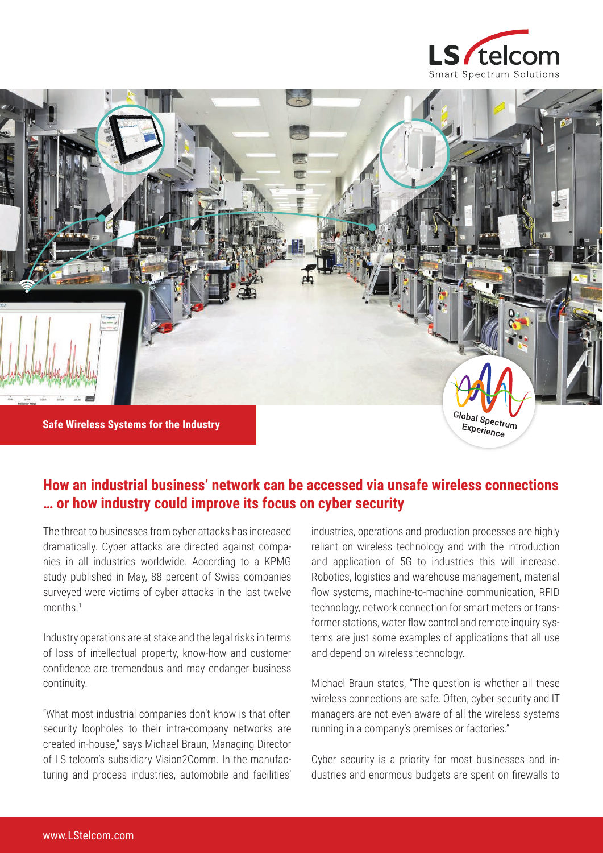



## **How an industrial business' network can be accessed via unsafe wireless connections … or how industry could improve its focus on cyber security**

The threat to businesses from cyber attacks has increased dramatically. Cyber attacks are directed against companies in all industries worldwide. According to a KPMG study published in May, 88 percent of Swiss companies surveyed were victims of cyber attacks in the last twelve months<sup>1</sup>

Industry operations are at stake and the legal risks in terms of loss of intellectual property, know-how and customer confidence are tremendous and may endanger business continuity.

"What most industrial companies don't know is that often security loopholes to their intra-company networks are created in-house," says Michael Braun, Managing Director of LS telcom's subsidiary Vision2Comm. In the manufacturing and process industries, automobile and facilities'

industries, operations and production processes are highly reliant on wireless technology and with the introduction and application of 5G to industries this will increase. Robotics, logistics and warehouse management, material flow systems, machine-to-machine communication, RFID technology, network connection for smart meters or transformer stations, water flow control and remote inquiry systems are just some examples of applications that all use and depend on wireless technology.

Michael Braun states, "The question is whether all these wireless connections are safe. Often, cyber security and IT managers are not even aware of all the wireless systems running in a company's premises or factories."

Cyber security is a priority for most businesses and industries and enormous budgets are spent on firewalls to